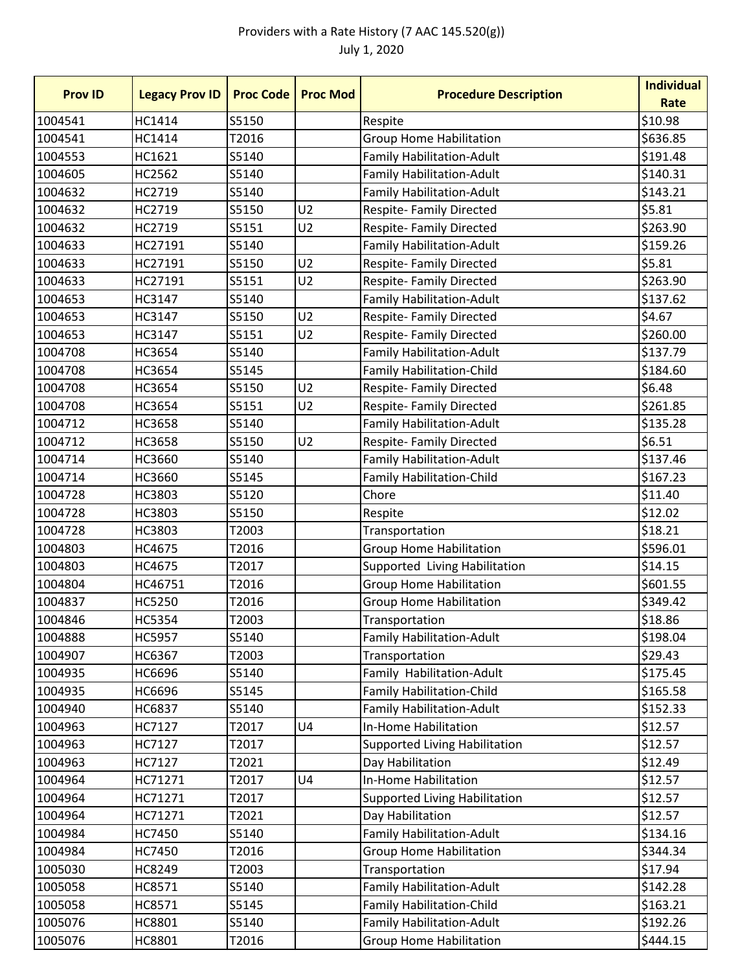## Providers with a Rate History (7 AAC 145.520(g)) July 1, 2020

| <b>Prov ID</b> | <b>Legacy Prov ID</b> | <b>Proc Code</b> | <b>Proc Mod</b> | <b>Procedure Description</b>         | <b>Individual</b> |
|----------------|-----------------------|------------------|-----------------|--------------------------------------|-------------------|
|                |                       |                  |                 |                                      | Rate              |
| 1004541        | HC1414                | S5150            |                 | Respite                              | \$10.98           |
| 1004541        | HC1414                | T2016            |                 | <b>Group Home Habilitation</b>       | \$636.85          |
| 1004553        | HC1621                | S5140            |                 | <b>Family Habilitation-Adult</b>     | \$191.48          |
| 1004605        | HC2562                | S5140            |                 | <b>Family Habilitation-Adult</b>     | \$140.31          |
| 1004632        | HC2719                | S5140            |                 | <b>Family Habilitation-Adult</b>     | \$143.21          |
| 1004632        | HC2719                | S5150            | U <sub>2</sub>  | <b>Respite-Family Directed</b>       | \$5.81            |
| 1004632        | HC2719                | S5151            | U <sub>2</sub>  | <b>Respite-Family Directed</b>       | \$263.90          |
| 1004633        | HC27191               | S5140            |                 | <b>Family Habilitation-Adult</b>     | \$159.26          |
| 1004633        | HC27191               | S5150            | U <sub>2</sub>  | <b>Respite- Family Directed</b>      | \$5.81            |
| 1004633        | HC27191               | S5151            | U <sub>2</sub>  | <b>Respite-Family Directed</b>       | \$263.90          |
| 1004653        | HC3147                | S5140            |                 | <b>Family Habilitation-Adult</b>     | \$137.62          |
| 1004653        | HC3147                | S5150            | U <sub>2</sub>  | Respite- Family Directed             | \$4.67            |
| 1004653        | HC3147                | S5151            | U <sub>2</sub>  | <b>Respite-Family Directed</b>       | \$260.00          |
| 1004708        | HC3654                | S5140            |                 | <b>Family Habilitation-Adult</b>     | \$137.79          |
| 1004708        | HC3654                | S5145            |                 | <b>Family Habilitation-Child</b>     | \$184.60          |
| 1004708        | HC3654                | S5150            | U <sub>2</sub>  | <b>Respite- Family Directed</b>      | \$6.48            |
| 1004708        | HC3654                | S5151            | U <sub>2</sub>  | <b>Respite-Family Directed</b>       | \$261.85          |
| 1004712        | <b>HC3658</b>         | S5140            |                 | <b>Family Habilitation-Adult</b>     | \$135.28          |
| 1004712        | <b>HC3658</b>         | S5150            | U <sub>2</sub>  | <b>Respite-Family Directed</b>       | \$6.51            |
| 1004714        | HC3660                | S5140            |                 | <b>Family Habilitation-Adult</b>     | \$137.46          |
| 1004714        | HC3660                | S5145            |                 | <b>Family Habilitation-Child</b>     | \$167.23          |
| 1004728        | HC3803                | S5120            |                 | Chore                                | \$11.40           |
| 1004728        | HC3803                | S5150            |                 | Respite                              | \$12.02           |
| 1004728        | HC3803                | T2003            |                 | Transportation                       | \$18.21           |
| 1004803        | HC4675                | T2016            |                 | <b>Group Home Habilitation</b>       | \$596.01          |
| 1004803        | HC4675                | T2017            |                 | Supported Living Habilitation        | \$14.15           |
| 1004804        | HC46751               | T2016            |                 | <b>Group Home Habilitation</b>       | \$601.55          |
| 1004837        | HC5250                | T2016            |                 | <b>Group Home Habilitation</b>       | \$349.42          |
| 1004846        | HC5354                | T2003            |                 | Transportation                       | \$18.86           |
| 1004888        | HC5957                | S5140            |                 | <b>Family Habilitation-Adult</b>     | \$198.04          |
| 1004907        | HC6367                | T2003            |                 | Transportation                       | \$29.43           |
| 1004935        | HC6696                | S5140            |                 | Family Habilitation-Adult            | \$175.45          |
| 1004935        | HC6696                | S5145            |                 | <b>Family Habilitation-Child</b>     | \$165.58          |
| 1004940        | HC6837                | S5140            |                 | <b>Family Habilitation-Adult</b>     | \$152.33          |
| 1004963        | HC7127                | T2017            | U <sub>4</sub>  | In-Home Habilitation                 | \$12.57           |
| 1004963        | HC7127                | T2017            |                 | <b>Supported Living Habilitation</b> | \$12.57           |
| 1004963        | HC7127                | T2021            |                 | Day Habilitation                     | \$12.49           |
| 1004964        | HC71271               | T2017            | U <sub>4</sub>  | In-Home Habilitation                 | \$12.57           |
| 1004964        | HC71271               | T2017            |                 | <b>Supported Living Habilitation</b> | \$12.57           |
| 1004964        | HC71271               | T2021            |                 | Day Habilitation                     | \$12.57           |
| 1004984        | HC7450                | S5140            |                 | <b>Family Habilitation-Adult</b>     | \$134.16          |
| 1004984        | HC7450                | T2016            |                 | <b>Group Home Habilitation</b>       | \$344.34          |
| 1005030        | HC8249                | T2003            |                 | Transportation                       | \$17.94           |
| 1005058        | HC8571                | S5140            |                 | <b>Family Habilitation-Adult</b>     | \$142.28          |
| 1005058        | HC8571                | S5145            |                 | <b>Family Habilitation-Child</b>     | \$163.21          |
| 1005076        | HC8801                | S5140            |                 | <b>Family Habilitation-Adult</b>     | \$192.26          |
| 1005076        | HC8801                | T2016            |                 | <b>Group Home Habilitation</b>       | \$444.15          |